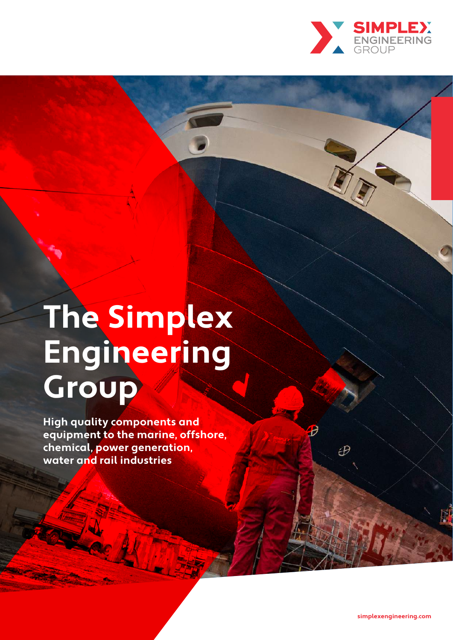

# **The Simplex Engineering Group**

**High quality components and equipment to the marine, offshore, chemical, power generation, water and rail industries**

Đ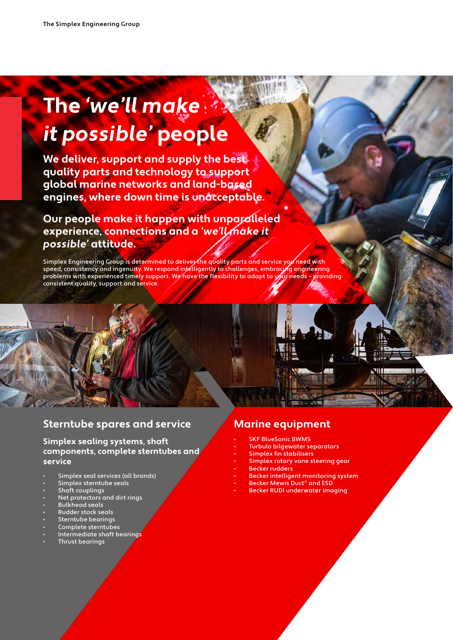# **The 'we'll make it possible' people**

**We deliver, support and supply the best quality parts and technology to support global marine networks and land-based**  engines, where down time is unacceptable.

**Our people make it happen with unparalleled experience, connections and a 'we'll make it possible' attitude.**

Simplex Engineering Group is determined to deliver the quality parts and service you need with speed, consistency and ingenuity. We respond intelligently to challenges, embracing engineering problems with experienced timely support. We have the flexibility to adapt to your needs - providing consistent quality, support and service.

# **Sterntube spares and service**

#### **Simplex sealing systems, shaft components, complete sterntubes and service**

- Simplex seal services (all brands)
- Simplex sterntube seals
- Shaft couplings
- Net protectors and dirt rings
- Bulkhead seals
- Rudder stock seals
- Sterntube bearings
- Complete sterntubes
- Intermediate shaft bearings
- Thrust bearings

# **Marine equipment**

- **SKF BlueSonic BWMS**
- Turbulo bilgewater separators
- Simplex fin stabilisers
- Simplex rotary vane steering gear

ani

- **Becker rudders**
- Becker intelligent monitoring system
- Becker Mewis Duct® and ESD
- Becker RUDI underwater imaging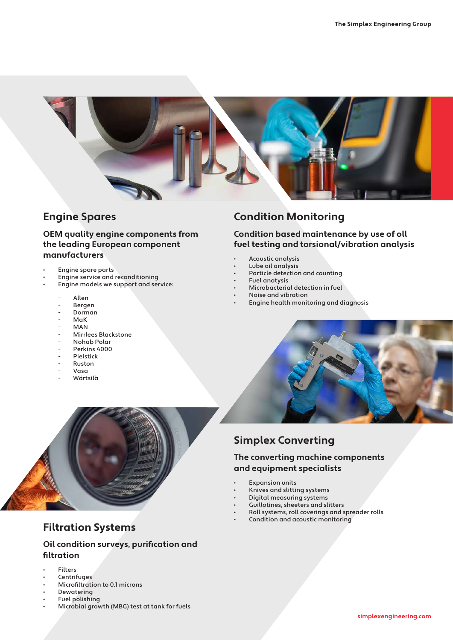

# **Engine Spares**

#### **OEM quality engine components from the leading European component manufacturers**

- Engine spare parts
- Engine service and reconditioning
- Engine models we support and service:
	- **Allen**
	- **Bergen**
	- Dorman
	- MaK
	- MAN
	- Mirrlees Blackstone
	- Nohab Polar
	- Perkins 4000<br>- Pielstick
	- Pielstick
	- Ruston<br>- Vasa
	- Vasa
	- Wärtsilä

# **Condition Monitoring**

#### **Condition based maintenance by use of oll fuel testing and torsional/vibration analysis**

- Acoustic analysis
- Lube oil analysis
- Particle detection and counting
- Fuel anatysis
- Microbacterial detection in fuel • Noise and vibration
- 
- Engine health monitoring and diagnosis





# **Filtration Systems**

#### **Oil condition surveys, purification and filtration**

- Filters
- **Centrifuges**
- Microfiltration to 0.1 microns
- **Dewatering**
- Fuel polishing
- Microbial growth (MBG) test at tank for fuels

# **Simplex Converting**

#### **The converting machine components and equipment specialists**

- **Expansion units**
- Knives and slitting systems
- Digital measuring systems
- Guillotines, sheeters and slitters
- Roll systems, roll coverings and spreader rolls
- Condition and acoustic monitoring